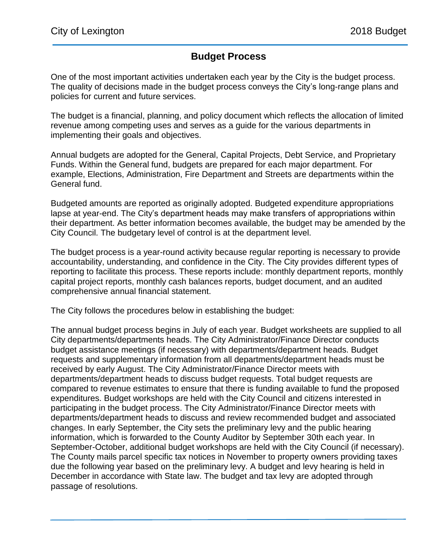## **Budget Process**

One of the most important activities undertaken each year by the City is the budget process. The quality of decisions made in the budget process conveys the City's long-range plans and policies for current and future services.

The budget is a financial, planning, and policy document which reflects the allocation of limited revenue among competing uses and serves as a guide for the various departments in implementing their goals and objectives.

Annual budgets are adopted for the General, Capital Projects, Debt Service, and Proprietary Funds. Within the General fund, budgets are prepared for each major department. For example, Elections, Administration, Fire Department and Streets are departments within the General fund.

Budgeted amounts are reported as originally adopted. Budgeted expenditure appropriations lapse at year-end. The City's department heads may make transfers of appropriations within their department. As better information becomes available, the budget may be amended by the City Council. The budgetary level of control is at the department level.

The budget process is a year-round activity because regular reporting is necessary to provide accountability, understanding, and confidence in the City. The City provides different types of reporting to facilitate this process. These reports include: monthly department reports, monthly capital project reports, monthly cash balances reports, budget document, and an audited comprehensive annual financial statement.

The City follows the procedures below in establishing the budget:

The annual budget process begins in July of each year. Budget worksheets are supplied to all City departments/departments heads. The City Administrator/Finance Director conducts budget assistance meetings (if necessary) with departments/department heads. Budget requests and supplementary information from all departments/department heads must be received by early August. The City Administrator/Finance Director meets with departments/department heads to discuss budget requests. Total budget requests are compared to revenue estimates to ensure that there is funding available to fund the proposed expenditures. Budget workshops are held with the City Council and citizens interested in participating in the budget process. The City Administrator/Finance Director meets with departments/department heads to discuss and review recommended budget and associated changes. In early September, the City sets the preliminary levy and the public hearing information, which is forwarded to the County Auditor by September 30th each year. In September-October, additional budget workshops are held with the City Council (if necessary). The County mails parcel specific tax notices in November to property owners providing taxes due the following year based on the preliminary levy. A budget and levy hearing is held in December in accordance with State law. The budget and tax levy are adopted through passage of resolutions.